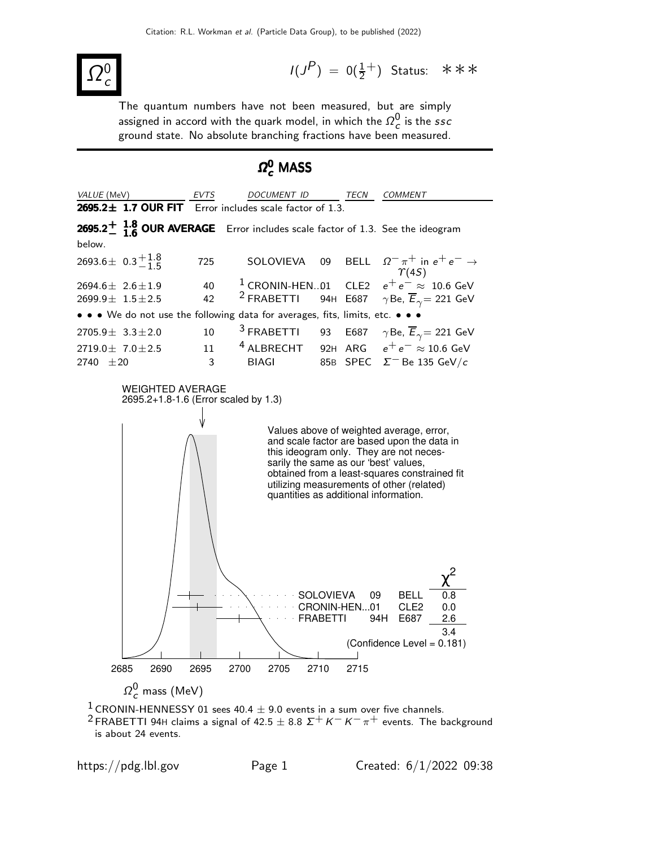

 $I(J^P) = 0(\frac{1}{2}^+)$  Status: \*\*\*

The quantum numbers have not been measured, but are simply assigned in accord with the quark model, in which the  $\varOmega_{_{\boldsymbol{C}}}^{\boldsymbol{0}}$  is the  $\mathit{ssc}$ ground state. No absolute branching fractions have been measured.

# $\Omega_{\boldsymbol{c}}^{\boldsymbol{0}}$  MASS



<sup>2</sup> FRABETTI 94H claims a signal of 42.5  $\pm$  8.8  $\Sigma^{+}$  K<sup>-</sup> K<sup>-</sup>  $\pi^{+}$  events. The background is about 24 events.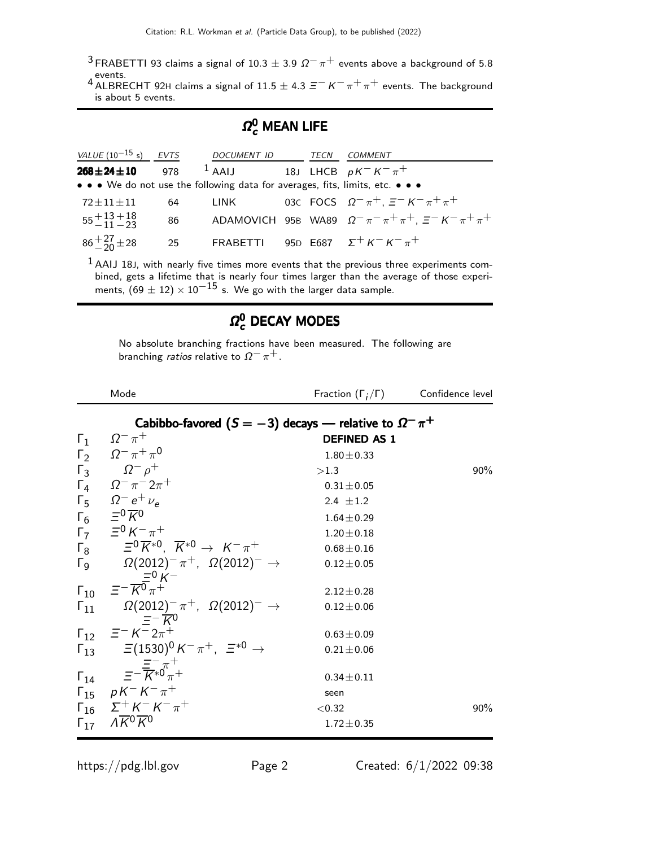<sup>3</sup> FRABETTI 93 claims a signal of 10.3  $\pm$  3.9  $\Omega^- \pi^+$  events above a background of 5.8 events.<br><sup>4</sup> ALBRECHT 92H claims a signal of 11.5  $\pm$  4.3  $\Xi^{+}$  K $^{-}$  π $^{+}$  π $^{+}$  events. The background

is about 5 events.

## $\varOmega_{c}^{0}$  MEAN LIFE

| VALUE $(10^{-15} s)$ EVTS    |     | DOCUMENT ID                                                                   | TECN | COMMENT                                                                   |
|------------------------------|-----|-------------------------------------------------------------------------------|------|---------------------------------------------------------------------------|
| $268 \pm 24 \pm 10$          | 978 | <sup>1</sup> AAIJ 18J LHCB $pK^-K^-\pi^+$                                     |      |                                                                           |
|                              |     | • • • We do not use the following data for averages, fits, limits, etc. • • • |      |                                                                           |
| $72 \pm 11 \pm 11$           | 64  | LINK                                                                          |      | 03C FOCS $\Omega^{-} \pi^{+}$ , $\Xi^{-} K^{-} \pi^{+} \pi^{+}$           |
| $55 + 13 + 18$<br>$-11 - 23$ | 86  |                                                                               |      | ADAMOVICH 95B WA89 $\Omega^- \pi^- \pi^+ \pi^+$ , $\Xi^- K^- \pi^+ \pi^+$ |
| $86 + \frac{27}{20} \pm 28$  | 25  |                                                                               |      | FRABETTI 95D E687 $\Sigma^+ K^- K^- \pi^+$                                |

 $<sup>1</sup>$  AAIJ 18J, with nearly five times more events that the previous three experiments com-</sup> bined, gets a lifetime that is nearly four times larger than the average of those experi-<br>ments, (69  $\pm$  12) × 10<sup>−15</sup> s. We go with the larger data sample.

## $\Omega_{c}^{0}$  DECAY MODES

No absolute branching fractions have been measured. The following are branching *ratios* relative to  $\Omega^- \pi^+$ .

|                       | Mode                                                                                       | Fraction $(\Gamma_i/\Gamma)$ | Confidence level |
|-----------------------|--------------------------------------------------------------------------------------------|------------------------------|------------------|
|                       | Cabibbo-favored $(S = -3)$ decays — relative to $\Omega^- \pi^+$                           |                              |                  |
| $\Gamma_1$            | $\Omega^-\,\pi^+$                                                                          | <b>DEFINED AS 1</b>          |                  |
|                       | $\Gamma_2 \qquad \Omega^- \pi^+ \pi^0$                                                     | $1.80 \pm 0.33$              |                  |
|                       | $\Gamma_3$ $\Omega^- \rho^+$                                                               | >1.3                         | $90\%$           |
|                       | $\Gamma_4 \Omega^- \pi^- 2\pi^+$                                                           | $0.31 \pm 0.05$              |                  |
|                       | $\Gamma_5 \Omega^- e^+ \nu_e$                                                              | 2.4 $\pm 1.2$                |                  |
|                       | $\Gamma_6 \quad \Xi^0 \overline{K}{}^0$                                                    | $1.64 \pm 0.29$              |                  |
|                       | $\Gamma_7 = {}^{\circ}K^- \pi^+$                                                           | $1.20 \pm 0.18$              |                  |
| $\Gamma_{8}$          | $\Xi^0 \overline{K}{}^{*0}$ . $\overline{K}{}^{*0} \rightarrow K^- \pi^+$                  | $0.68 \pm 0.16$              |                  |
| $\Gamma$ <sub>9</sub> | $\Omega(2012)^{-} \pi^{+}$ , $\Omega(2012)^{-} \rightarrow$                                | $0.12 \pm 0.05$              |                  |
|                       | $\Gamma_{10}$ = $\frac{=0}{K}K^{-}$                                                        | $2.12 \pm 0.28$              |                  |
|                       | $\Gamma_{11}$ $\Omega(2012)^{-} \pi^{+}$ , $\Omega(2012)^{-} \to$<br>$=-\overline{K}0$     | $0.12 \pm 0.06$              |                  |
|                       | $\Gamma_{12}$ $\equiv^- K^- 2\pi^+$                                                        | $0.63 \pm 0.09$              |                  |
|                       | $\Gamma_{13}$ = (1530) <sup>0</sup> K <sup>-</sup> $\pi^+$ , = <sup>*0</sup> $\rightarrow$ | $0.21 \pm 0.06$              |                  |
|                       | $\Gamma_{14}$ $\equiv -\frac{\equiv -\pi^{+}}{K^{*0}\pi^{+}}$                              | $0.34 \pm 0.11$              |                  |
|                       | $\Gamma_{15}$ $pK^-K^-\pi^+$                                                               | seen                         |                  |
|                       | $\Gamma_{16}$ $\Sigma^{+}$ K <sup>-</sup> K <sup>-</sup> $\pi^{+}$                         | < 0.32                       | $90\%$           |
|                       | $\Gamma_{17}$ $\overline{AK}0\ \overline{K}0$                                              | $1.72 \pm 0.35$              |                  |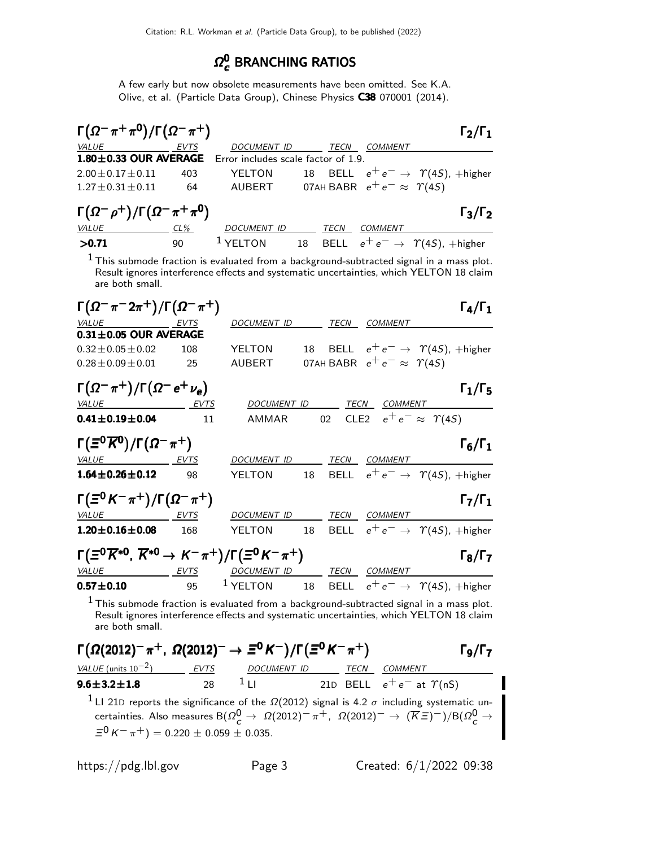#### $Ω^0$ <mark>c</mark> BRANCHING RATIOS

A few early but now obsolete measurements have been omitted. See K.A. Olive, et al. (Particle Data Group), Chinese Physics C38 070001 (2014).

| $\Gamma(\Omega^-\pi^+\pi^0)/\Gamma(\Omega^-\pi^+)$        |             |                                                                                                                                                                                                                                                                                          |      |                                         | $\Gamma_2/\Gamma_1$                               |
|-----------------------------------------------------------|-------------|------------------------------------------------------------------------------------------------------------------------------------------------------------------------------------------------------------------------------------------------------------------------------------------|------|-----------------------------------------|---------------------------------------------------|
| VALUE                                                     | <b>EVTS</b> | DOCUMENT ID TECN                                                                                                                                                                                                                                                                         |      | <b>COMMENT</b>                          |                                                   |
| 1.80±0.33 OUR AVERAGE Error includes scale factor of 1.9. |             |                                                                                                                                                                                                                                                                                          |      |                                         |                                                   |
| $2.00 \pm 0.17 \pm 0.11$                                  | 403         | YELTON                                                                                                                                                                                                                                                                                   |      |                                         | 18 BELL $e^+e^- \rightarrow \gamma(4S)$ , +higher |
| $1.27 \pm 0.31 \pm 0.11$                                  | 64          | AUBERT                                                                                                                                                                                                                                                                                   |      | 07AH BABR $e^+e^- \approx \Upsilon(4S)$ |                                                   |
| $\Gamma(\Omega^-\rho^+)/\Gamma(\Omega^-\pi^+\pi^0)$       |             |                                                                                                                                                                                                                                                                                          |      |                                         | $\Gamma_3/\Gamma_2$                               |
| <i>VALUE</i>                                              | CL%         | <b>DOCUMENT ID</b>                                                                                                                                                                                                                                                                       | TECN | COMMENT                                 |                                                   |
| >0.71                                                     | 90          | $1$ YELTON                                                                                                                                                                                                                                                                               |      |                                         | 18 BELL $e^+e^- \rightarrow \gamma(4S)$ , +higher |
| $1 - \cdot$                                               |             | $\mathbf{1}$ , and $\mathbf{1}$ , and $\mathbf{1}$ , and $\mathbf{1}$ , and $\mathbf{1}$ , and $\mathbf{1}$ , and $\mathbf{1}$ , and $\mathbf{1}$ , and $\mathbf{1}$ , and $\mathbf{1}$ , and $\mathbf{1}$ , and $\mathbf{1}$ , and $\mathbf{1}$ , and $\mathbf{1}$ , and $\mathbf{1}$ , |      |                                         |                                                   |

 $<sup>1</sup>$  This submode fraction is evaluated from a background-subtracted signal in a mass plot.</sup> Result ignores interference effects and systematic uncertainties, which YELTON 18 claim are both small.

| $\Gamma(\Omega^-\pi^-2\pi^+)/\Gamma(\Omega^-\pi^+)$                                                                                                                                                                            |           |                                                      |  |                                             | $\Gamma_4/\Gamma_1$                                                   |
|--------------------------------------------------------------------------------------------------------------------------------------------------------------------------------------------------------------------------------|-----------|------------------------------------------------------|--|---------------------------------------------|-----------------------------------------------------------------------|
| VALUE EVTS                                                                                                                                                                                                                     |           | DOCUMENT ID TECN COMMENT                             |  |                                             |                                                                       |
| $0.31 \pm 0.05$ OUR AVERAGE                                                                                                                                                                                                    |           |                                                      |  |                                             |                                                                       |
| $0.32 \pm 0.05 \pm 0.02$                                                                                                                                                                                                       | 108       | YELTON                                               |  |                                             | 18 BELL $e^+e^- \rightarrow \gamma(4S)$ , +higher                     |
| $0.28 \pm 0.09 \pm 0.01$ 25                                                                                                                                                                                                    |           | AUBERT                                               |  | 07AH BABR $e^+e^- \approx \Upsilon(4S)$     |                                                                       |
| $\Gamma(\Omega^-\pi^+)/\Gamma(\Omega^-e^+\nu_e)$                                                                                                                                                                               |           |                                                      |  |                                             | $\Gamma_1/\Gamma_5$                                                   |
| <u>VALUE EVTS</u>                                                                                                                                                                                                              |           | <u>DOCUMENT ID _______ TECN ___ COMMENT ________</u> |  |                                             |                                                                       |
| $0.41 \pm 0.19 \pm 0.04$                                                                                                                                                                                                       | $\sim$ 11 |                                                      |  | AMMAR 02 CLE2 $e^+e^- \approx \Upsilon(45)$ |                                                                       |
| $\Gamma(\Xi^0\overline{K}{}^0)/\Gamma(\Omega^-\pi^+)$                                                                                                                                                                          |           |                                                      |  |                                             | $\Gamma_6/\Gamma_1$                                                   |
| VALUE EVTS                                                                                                                                                                                                                     |           | DOCUMENT ID TECN COMMENT                             |  |                                             |                                                                       |
| $1.64 \pm 0.26 \pm 0.12$                                                                                                                                                                                                       | 98        |                                                      |  |                                             | YELTON 18 BELL $e^+e^- \rightarrow \Upsilon(4S)$ , +higher            |
| $\Gamma(\Xi^0 K^- \pi^+) / \Gamma(\Omega^- \pi^+)$                                                                                                                                                                             |           |                                                      |  |                                             | $\Gamma_7/\Gamma_1$                                                   |
| VALUE EVTS                                                                                                                                                                                                                     |           | <u>DOCUMENT ID ______ TECN __ COMMENT _</u>          |  |                                             |                                                                       |
| $1.20 \pm 0.16 \pm 0.08$ 168                                                                                                                                                                                                   |           |                                                      |  |                                             | YELTON 18 BELL $e^+e^- \rightarrow \Upsilon(4S)$ , +higher            |
| $\Gamma(\Xi^0 \overline{K}^{*0}, \overline{K}^{*0} \to K^- \pi^+) / \Gamma(\Xi^0 K^- \pi^+)$                                                                                                                                   |           |                                                      |  |                                             | $\Gamma_8/\Gamma_7$                                                   |
| <u>VALUE EVTS DOCUMENT ID TECN COMMENT</u>                                                                                                                                                                                     |           |                                                      |  |                                             |                                                                       |
| $0.57 \pm 0.10$ 95                                                                                                                                                                                                             |           |                                                      |  |                                             | <sup>1</sup> YELTON 18 BELL $e^+e^- \rightarrow \gamma(4S)$ , +higher |
| . There is a proportional contract of the contract of the contract of the contract of the contract of the contract of the contract of the contract of the contract of the contract of the contract of the contract of the cont |           |                                                      |  |                                             |                                                                       |

 $<sup>1</sup>$  This submode fraction is evaluated from a background-subtracted signal in a mass plot.</sup> Result ignores interference effects and systematic uncertainties, which YELTON 18 claim are both small.

| $\Gamma(\Omega(2012)^{-} \pi^{+}, \Omega(2012)^{-} \to \Xi^{0} K^{-})/\Gamma(\Xi^{0} K^{-} \pi^{+})$ |      |             |      | $\Gamma_9/\Gamma_7$                                                                                                                                                                                                                                            |
|------------------------------------------------------------------------------------------------------|------|-------------|------|----------------------------------------------------------------------------------------------------------------------------------------------------------------------------------------------------------------------------------------------------------------|
| <i>VALUE</i> (units $10^{-2}$ )                                                                      | EVTS | DOCUMENT ID | TECN | <b>COMMENT</b>                                                                                                                                                                                                                                                 |
| $9.6 \pm 3.2 \pm 1.8$                                                                                | 28   | $1_{11}$    |      | 21D BELL $e^+e^-$ at $\Upsilon(nS)$                                                                                                                                                                                                                            |
| $\Xi^0 K^- \pi^+$ ) = 0.220 ± 0.059 ± 0.035.                                                         |      |             |      | <sup>1</sup> LI 21D reports the significance of the $\Omega(2012)$ signal is 4.2 $\sigma$ including systematic un-<br>certainties. Also measures B $(\Omega_c^0 \to \Omega(2012)^-\pi^+$ , $\Omega(2012)^-\to (\overline{K}\,\Xi)^-)/B(\Omega_c^0 \to \Xi_c^0$ |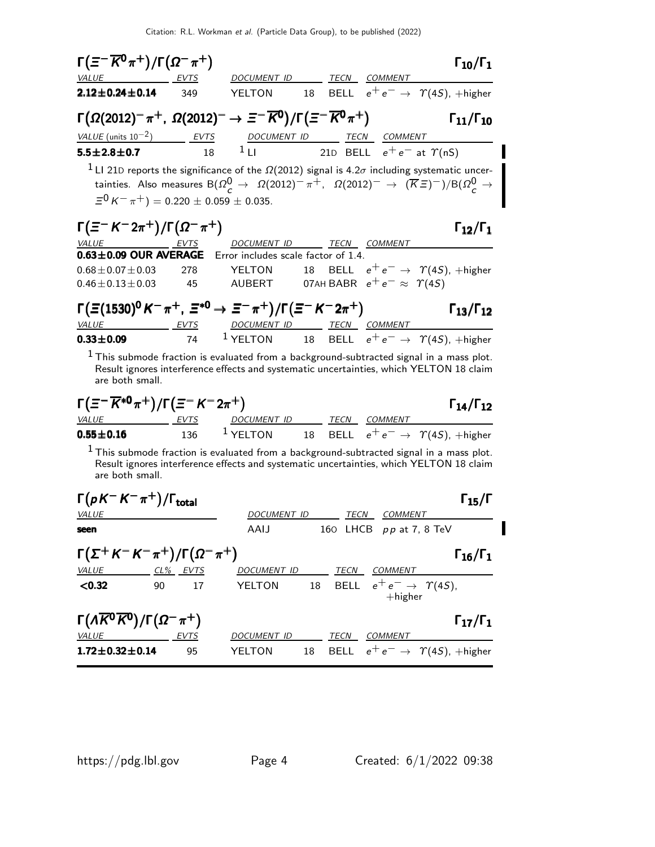| VALUE EVTS<br>DOCUMENT ID ______ TECN ___ COMMENT<br>18 BELL $e^+e^- \rightarrow \gamma(4S)$ , +higher<br>$2.12 \pm 0.24 \pm 0.14$ 349<br>YELTON<br>$\Gamma(\Omega(2012)^{-}\pi^{+}, \ \Omega(2012)^{-} \rightarrow \Xi^{-}\overline{K}^{0})/\Gamma(\Xi^{-}\overline{K}^{0}\pi^{+})$<br>$\Gamma_{11}/\Gamma_{10}$<br>$\frac{VALUE \text{ (units 10}^{-2})}{18}$ $\frac{EVTS}{1 \text{ L}}$ $\frac{DOCUMENT \text{ ID}}{21 \text{ D}}$ $\frac{TECN}{21 \text{ E}}$ $\frac{COMMENT}{e^+ e^-}$ at $\Upsilon(nS)$<br><sup>1</sup> LI 21D reports the significance of the $\Omega(2012)$ signal is 4.2 $\sigma$ including systematic uncer-<br>tainties. Also measures B $(\Omega_c^0 \to \Omega(2012)^-\pi^+$ , $\Omega(2012)^-\to (\overline{K}\,\Xi)^-)/B(\Omega_c^0 \to \Xi_c^+$<br>$\Xi^0 K^- \pi^+) = 0.220 \pm 0.059 \pm 0.035.$<br>$\Gamma(\Xi^- K^- 2\pi^+) / \Gamma(\Omega^- \pi^+)$<br>$\Gamma_{12}/\Gamma_1$<br>VALUE EVTS DOCUMENT ID TECN COMMENT<br>$0.63 \pm 0.09$ OUR AVERAGE<br>Error includes scale factor of 1.4.<br>18 BELL $e^+e^- \rightarrow \Upsilon(4S)$ , +higher<br>$0.68 \pm 0.07 \pm 0.03$<br>YELTON<br>278<br>AUBERT 07AH BABR $e^+e^- \approx \Upsilon(45)$<br>$0.46 \pm 0.13 \pm 0.03$<br>45<br>$\Gamma(\Xi(1530)^{0}K^{-}\pi^{+}, \Xi^{*0}\to \Xi^{-}\pi^{+})/\Gamma(\Xi^{-}K^{-}2\pi^{+})$<br>$\Gamma_{13}/\Gamma_{12}$<br><u>VALUE EVTS DOCUMENT ID TECN COMMENT</u><br>74 <sup>1</sup> YELTON 18 BELL $e^+e^- \rightarrow \gamma(4S)$ , +higher<br>$1$ This submode fraction is evaluated from a background-subtracted signal in a mass plot.<br>Result ignores interference effects and systematic uncertainties, which YELTON 18 claim<br>are both small.<br>$\Gamma(\Xi^{-}\overline{K}^{*0}\pi^{+})/\Gamma(\Xi^{-}\,K^{-}\,2\pi^{+})$<br>$\Gamma_{14}/\Gamma_{12}$<br>$\frac{VALUE}{136}$ $\frac{EVTS}{136}$ $\frac{DOCUMENT ID}{18}$ $\frac{TECN}{BEL}$ $\frac{COMMENT}{e^+ e^-}$ $\frac{VAS}{18}$ , $+ higher$<br>$1$ This submode fraction is evaluated from a background-subtracted signal in a mass plot.<br>Result ignores interference effects and systematic uncertainties, which YELTON 18 claim<br>are both small.<br>$\Gamma(pK^-K^-\pi^+)/\Gamma_{\rm total}$<br>$\Gamma_{15}/\Gamma$<br>DOCUMENT ID TECN COMMENT<br>AAIJ 160 LHCB pp at 7, 8 TeV<br>$\Gamma(\Sigma^+ K^- K^- \pi^+)/\Gamma(\Omega^- \pi^+)$<br>$\Gamma_{16}/\Gamma_1$<br>VALUE CL% EVTS DOCUMENT ID TECN COMMENT<br>18 BELL $e^+e^- \rightarrow \gamma(4S)$ ,<br>90<br>17<br>YELTON<br>$+$ higher<br>$\Gamma(\Lambda \overline{K}^0 \overline{K}^0)/\Gamma(\Omega^- \pi^+)$<br>$\Gamma_{17}/\Gamma_1$<br><u>VALUE EVTS</u><br>DOCUMENT ID TECN COMMENT<br>YELTON 18 BELL $e^+e^- \rightarrow \Upsilon(4S)$ , +higher<br>95 | $\Gamma(\equiv^{-} \overline{K^0} \pi^+)/\Gamma(\Omega^- \pi^+)$ |  |  | $\Gamma_{10}/\Gamma_1$ |
|---------------------------------------------------------------------------------------------------------------------------------------------------------------------------------------------------------------------------------------------------------------------------------------------------------------------------------------------------------------------------------------------------------------------------------------------------------------------------------------------------------------------------------------------------------------------------------------------------------------------------------------------------------------------------------------------------------------------------------------------------------------------------------------------------------------------------------------------------------------------------------------------------------------------------------------------------------------------------------------------------------------------------------------------------------------------------------------------------------------------------------------------------------------------------------------------------------------------------------------------------------------------------------------------------------------------------------------------------------------------------------------------------------------------------------------------------------------------------------------------------------------------------------------------------------------------------------------------------------------------------------------------------------------------------------------------------------------------------------------------------------------------------------------------------------------------------------------------------------------------------------------------------------------------------------------------------------------------------------------------------------------------------------------------------------------------------------------------------------------------------------------------------------------------------------------------------------------------------------------------------------------------------------------------------------------------------------------------------------------------------------------------------------------------------------------------------------------------------------------------------------------------------------------------------------------------------------------------------------------------------------------------------------------------------------------------------------------------------------------------|------------------------------------------------------------------|--|--|------------------------|
|                                                                                                                                                                                                                                                                                                                                                                                                                                                                                                                                                                                                                                                                                                                                                                                                                                                                                                                                                                                                                                                                                                                                                                                                                                                                                                                                                                                                                                                                                                                                                                                                                                                                                                                                                                                                                                                                                                                                                                                                                                                                                                                                                                                                                                                                                                                                                                                                                                                                                                                                                                                                                                                                                                                                             |                                                                  |  |  |                        |
|                                                                                                                                                                                                                                                                                                                                                                                                                                                                                                                                                                                                                                                                                                                                                                                                                                                                                                                                                                                                                                                                                                                                                                                                                                                                                                                                                                                                                                                                                                                                                                                                                                                                                                                                                                                                                                                                                                                                                                                                                                                                                                                                                                                                                                                                                                                                                                                                                                                                                                                                                                                                                                                                                                                                             |                                                                  |  |  |                        |
|                                                                                                                                                                                                                                                                                                                                                                                                                                                                                                                                                                                                                                                                                                                                                                                                                                                                                                                                                                                                                                                                                                                                                                                                                                                                                                                                                                                                                                                                                                                                                                                                                                                                                                                                                                                                                                                                                                                                                                                                                                                                                                                                                                                                                                                                                                                                                                                                                                                                                                                                                                                                                                                                                                                                             |                                                                  |  |  |                        |
|                                                                                                                                                                                                                                                                                                                                                                                                                                                                                                                                                                                                                                                                                                                                                                                                                                                                                                                                                                                                                                                                                                                                                                                                                                                                                                                                                                                                                                                                                                                                                                                                                                                                                                                                                                                                                                                                                                                                                                                                                                                                                                                                                                                                                                                                                                                                                                                                                                                                                                                                                                                                                                                                                                                                             |                                                                  |  |  |                        |
|                                                                                                                                                                                                                                                                                                                                                                                                                                                                                                                                                                                                                                                                                                                                                                                                                                                                                                                                                                                                                                                                                                                                                                                                                                                                                                                                                                                                                                                                                                                                                                                                                                                                                                                                                                                                                                                                                                                                                                                                                                                                                                                                                                                                                                                                                                                                                                                                                                                                                                                                                                                                                                                                                                                                             |                                                                  |  |  |                        |
|                                                                                                                                                                                                                                                                                                                                                                                                                                                                                                                                                                                                                                                                                                                                                                                                                                                                                                                                                                                                                                                                                                                                                                                                                                                                                                                                                                                                                                                                                                                                                                                                                                                                                                                                                                                                                                                                                                                                                                                                                                                                                                                                                                                                                                                                                                                                                                                                                                                                                                                                                                                                                                                                                                                                             |                                                                  |  |  |                        |
|                                                                                                                                                                                                                                                                                                                                                                                                                                                                                                                                                                                                                                                                                                                                                                                                                                                                                                                                                                                                                                                                                                                                                                                                                                                                                                                                                                                                                                                                                                                                                                                                                                                                                                                                                                                                                                                                                                                                                                                                                                                                                                                                                                                                                                                                                                                                                                                                                                                                                                                                                                                                                                                                                                                                             |                                                                  |  |  |                        |
|                                                                                                                                                                                                                                                                                                                                                                                                                                                                                                                                                                                                                                                                                                                                                                                                                                                                                                                                                                                                                                                                                                                                                                                                                                                                                                                                                                                                                                                                                                                                                                                                                                                                                                                                                                                                                                                                                                                                                                                                                                                                                                                                                                                                                                                                                                                                                                                                                                                                                                                                                                                                                                                                                                                                             |                                                                  |  |  |                        |
|                                                                                                                                                                                                                                                                                                                                                                                                                                                                                                                                                                                                                                                                                                                                                                                                                                                                                                                                                                                                                                                                                                                                                                                                                                                                                                                                                                                                                                                                                                                                                                                                                                                                                                                                                                                                                                                                                                                                                                                                                                                                                                                                                                                                                                                                                                                                                                                                                                                                                                                                                                                                                                                                                                                                             |                                                                  |  |  |                        |
|                                                                                                                                                                                                                                                                                                                                                                                                                                                                                                                                                                                                                                                                                                                                                                                                                                                                                                                                                                                                                                                                                                                                                                                                                                                                                                                                                                                                                                                                                                                                                                                                                                                                                                                                                                                                                                                                                                                                                                                                                                                                                                                                                                                                                                                                                                                                                                                                                                                                                                                                                                                                                                                                                                                                             |                                                                  |  |  |                        |
|                                                                                                                                                                                                                                                                                                                                                                                                                                                                                                                                                                                                                                                                                                                                                                                                                                                                                                                                                                                                                                                                                                                                                                                                                                                                                                                                                                                                                                                                                                                                                                                                                                                                                                                                                                                                                                                                                                                                                                                                                                                                                                                                                                                                                                                                                                                                                                                                                                                                                                                                                                                                                                                                                                                                             |                                                                  |  |  |                        |
|                                                                                                                                                                                                                                                                                                                                                                                                                                                                                                                                                                                                                                                                                                                                                                                                                                                                                                                                                                                                                                                                                                                                                                                                                                                                                                                                                                                                                                                                                                                                                                                                                                                                                                                                                                                                                                                                                                                                                                                                                                                                                                                                                                                                                                                                                                                                                                                                                                                                                                                                                                                                                                                                                                                                             |                                                                  |  |  |                        |
|                                                                                                                                                                                                                                                                                                                                                                                                                                                                                                                                                                                                                                                                                                                                                                                                                                                                                                                                                                                                                                                                                                                                                                                                                                                                                                                                                                                                                                                                                                                                                                                                                                                                                                                                                                                                                                                                                                                                                                                                                                                                                                                                                                                                                                                                                                                                                                                                                                                                                                                                                                                                                                                                                                                                             | $0.33 \pm 0.09$                                                  |  |  |                        |
|                                                                                                                                                                                                                                                                                                                                                                                                                                                                                                                                                                                                                                                                                                                                                                                                                                                                                                                                                                                                                                                                                                                                                                                                                                                                                                                                                                                                                                                                                                                                                                                                                                                                                                                                                                                                                                                                                                                                                                                                                                                                                                                                                                                                                                                                                                                                                                                                                                                                                                                                                                                                                                                                                                                                             |                                                                  |  |  |                        |
|                                                                                                                                                                                                                                                                                                                                                                                                                                                                                                                                                                                                                                                                                                                                                                                                                                                                                                                                                                                                                                                                                                                                                                                                                                                                                                                                                                                                                                                                                                                                                                                                                                                                                                                                                                                                                                                                                                                                                                                                                                                                                                                                                                                                                                                                                                                                                                                                                                                                                                                                                                                                                                                                                                                                             |                                                                  |  |  |                        |
|                                                                                                                                                                                                                                                                                                                                                                                                                                                                                                                                                                                                                                                                                                                                                                                                                                                                                                                                                                                                                                                                                                                                                                                                                                                                                                                                                                                                                                                                                                                                                                                                                                                                                                                                                                                                                                                                                                                                                                                                                                                                                                                                                                                                                                                                                                                                                                                                                                                                                                                                                                                                                                                                                                                                             |                                                                  |  |  |                        |
|                                                                                                                                                                                                                                                                                                                                                                                                                                                                                                                                                                                                                                                                                                                                                                                                                                                                                                                                                                                                                                                                                                                                                                                                                                                                                                                                                                                                                                                                                                                                                                                                                                                                                                                                                                                                                                                                                                                                                                                                                                                                                                                                                                                                                                                                                                                                                                                                                                                                                                                                                                                                                                                                                                                                             |                                                                  |  |  |                        |
|                                                                                                                                                                                                                                                                                                                                                                                                                                                                                                                                                                                                                                                                                                                                                                                                                                                                                                                                                                                                                                                                                                                                                                                                                                                                                                                                                                                                                                                                                                                                                                                                                                                                                                                                                                                                                                                                                                                                                                                                                                                                                                                                                                                                                                                                                                                                                                                                                                                                                                                                                                                                                                                                                                                                             |                                                                  |  |  |                        |
|                                                                                                                                                                                                                                                                                                                                                                                                                                                                                                                                                                                                                                                                                                                                                                                                                                                                                                                                                                                                                                                                                                                                                                                                                                                                                                                                                                                                                                                                                                                                                                                                                                                                                                                                                                                                                                                                                                                                                                                                                                                                                                                                                                                                                                                                                                                                                                                                                                                                                                                                                                                                                                                                                                                                             | <b>VALUE</b>                                                     |  |  |                        |
|                                                                                                                                                                                                                                                                                                                                                                                                                                                                                                                                                                                                                                                                                                                                                                                                                                                                                                                                                                                                                                                                                                                                                                                                                                                                                                                                                                                                                                                                                                                                                                                                                                                                                                                                                                                                                                                                                                                                                                                                                                                                                                                                                                                                                                                                                                                                                                                                                                                                                                                                                                                                                                                                                                                                             | seen                                                             |  |  |                        |
|                                                                                                                                                                                                                                                                                                                                                                                                                                                                                                                                                                                                                                                                                                                                                                                                                                                                                                                                                                                                                                                                                                                                                                                                                                                                                                                                                                                                                                                                                                                                                                                                                                                                                                                                                                                                                                                                                                                                                                                                                                                                                                                                                                                                                                                                                                                                                                                                                                                                                                                                                                                                                                                                                                                                             |                                                                  |  |  |                        |
|                                                                                                                                                                                                                                                                                                                                                                                                                                                                                                                                                                                                                                                                                                                                                                                                                                                                                                                                                                                                                                                                                                                                                                                                                                                                                                                                                                                                                                                                                                                                                                                                                                                                                                                                                                                                                                                                                                                                                                                                                                                                                                                                                                                                                                                                                                                                                                                                                                                                                                                                                                                                                                                                                                                                             | < 0.32                                                           |  |  |                        |
|                                                                                                                                                                                                                                                                                                                                                                                                                                                                                                                                                                                                                                                                                                                                                                                                                                                                                                                                                                                                                                                                                                                                                                                                                                                                                                                                                                                                                                                                                                                                                                                                                                                                                                                                                                                                                                                                                                                                                                                                                                                                                                                                                                                                                                                                                                                                                                                                                                                                                                                                                                                                                                                                                                                                             |                                                                  |  |  |                        |
|                                                                                                                                                                                                                                                                                                                                                                                                                                                                                                                                                                                                                                                                                                                                                                                                                                                                                                                                                                                                                                                                                                                                                                                                                                                                                                                                                                                                                                                                                                                                                                                                                                                                                                                                                                                                                                                                                                                                                                                                                                                                                                                                                                                                                                                                                                                                                                                                                                                                                                                                                                                                                                                                                                                                             | $1.72 \pm 0.32 \pm 0.14$                                         |  |  |                        |

 $\blacksquare$